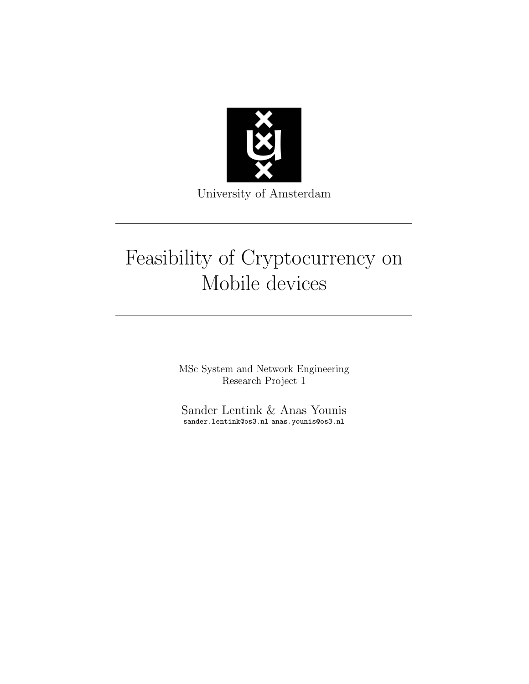

University of Amsterdam

# Feasibility of Cryptocurrency on Mobile devices

MSc System and Network Engineering Research Project 1

Sander Lentink & Anas Younis sander.lentink@os3.nl anas.younis@os3.nl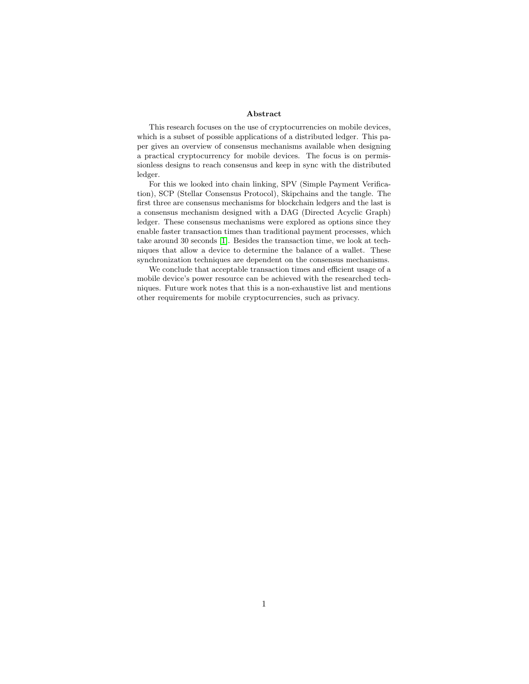#### Abstract

This research focuses on the use of cryptocurrencies on mobile devices, which is a subset of possible applications of a distributed ledger. This paper gives an overview of consensus mechanisms available when designing a practical cryptocurrency for mobile devices. The focus is on permissionless designs to reach consensus and keep in sync with the distributed ledger.

For this we looked into chain linking, SPV (Simple Payment Verification), SCP (Stellar Consensus Protocol), Skipchains and the tangle. The first three are consensus mechanisms for blockchain ledgers and the last is a consensus mechanism designed with a DAG (Directed Acyclic Graph) ledger. These consensus mechanisms were explored as options since they enable faster transaction times than traditional payment processes, which take around 30 seconds [\[1\]](#page-24-0). Besides the transaction time, we look at techniques that allow a device to determine the balance of a wallet. These synchronization techniques are dependent on the consensus mechanisms.

We conclude that acceptable transaction times and efficient usage of a mobile device's power resource can be achieved with the researched techniques. Future work notes that this is a non-exhaustive list and mentions other requirements for mobile cryptocurrencies, such as privacy.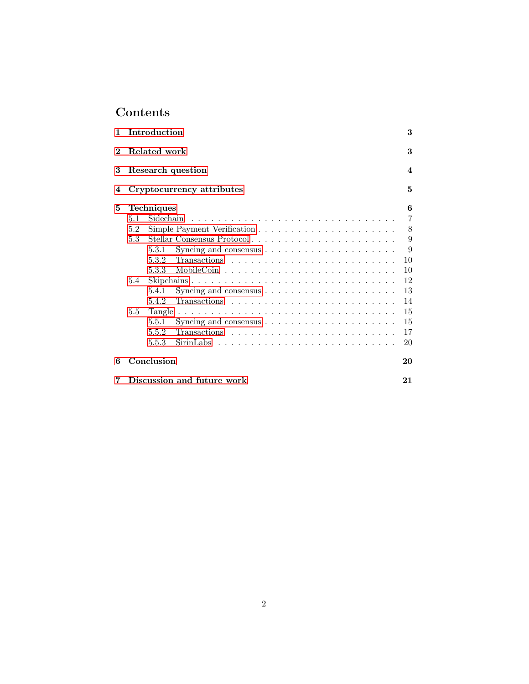## Contents

| $\mathbf{1}$ |                           | Introduction                                                                      | 3  |  |  |  |  |  |
|--------------|---------------------------|-----------------------------------------------------------------------------------|----|--|--|--|--|--|
| $\bf{2}$     | Related work              |                                                                                   |    |  |  |  |  |  |
| 3            | Research question         |                                                                                   |    |  |  |  |  |  |
| 4            | Cryptocurrency attributes |                                                                                   |    |  |  |  |  |  |
| 5            |                           | <b>Techniques</b>                                                                 | 6  |  |  |  |  |  |
|              | 5.1                       |                                                                                   | 7  |  |  |  |  |  |
|              | 5.2                       |                                                                                   | 8  |  |  |  |  |  |
|              | 5.3                       | Stellar Consensus Protocol                                                        | 9  |  |  |  |  |  |
|              |                           | Syncing and consensus $\ldots \ldots \ldots \ldots \ldots \ldots \ldots$<br>5.3.1 | 9  |  |  |  |  |  |
|              |                           | 5.3.2                                                                             | 10 |  |  |  |  |  |
|              |                           | 5.3.3                                                                             | 10 |  |  |  |  |  |
|              | 5.4                       | Skipchains                                                                        | 12 |  |  |  |  |  |
|              |                           | 5.4.1                                                                             | 13 |  |  |  |  |  |
|              |                           | 5.4.2                                                                             | 14 |  |  |  |  |  |
|              | $5.5^{\circ}$             |                                                                                   | 15 |  |  |  |  |  |
|              |                           | 5.5.1                                                                             | 15 |  |  |  |  |  |
|              |                           | 5.5.2                                                                             | 17 |  |  |  |  |  |
|              |                           | 5.5.3                                                                             | 20 |  |  |  |  |  |
| 6            |                           | Conclusion                                                                        | 20 |  |  |  |  |  |
| 7            |                           | Discussion and future work                                                        | 21 |  |  |  |  |  |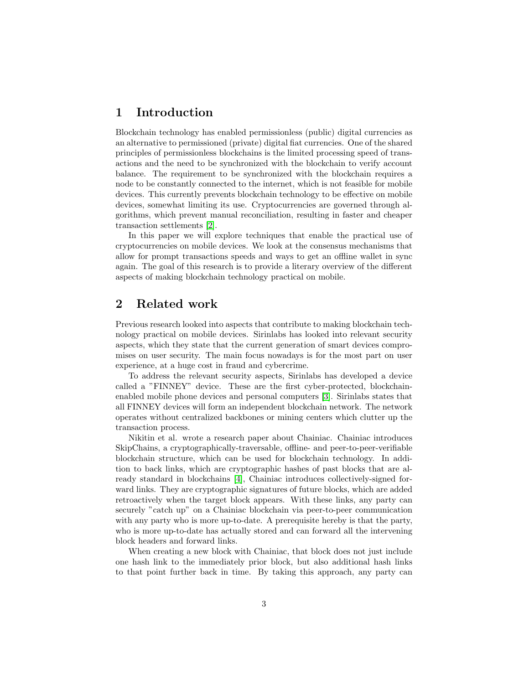## <span id="page-3-0"></span>1 Introduction

Blockchain technology has enabled permissionless (public) digital currencies as an alternative to permissioned (private) digital fiat currencies. One of the shared principles of permissionless blockchains is the limited processing speed of transactions and the need to be synchronized with the blockchain to verify account balance. The requirement to be synchronized with the blockchain requires a node to be constantly connected to the internet, which is not feasible for mobile devices. This currently prevents blockchain technology to be effective on mobile devices, somewhat limiting its use. Cryptocurrencies are governed through algorithms, which prevent manual reconciliation, resulting in faster and cheaper transaction settlements [\[2\]](#page-24-1).

In this paper we will explore techniques that enable the practical use of cryptocurrencies on mobile devices. We look at the consensus mechanisms that allow for prompt transactions speeds and ways to get an offline wallet in sync again. The goal of this research is to provide a literary overview of the different aspects of making blockchain technology practical on mobile.

## <span id="page-3-1"></span>2 Related work

Previous research looked into aspects that contribute to making blockchain technology practical on mobile devices. Sirinlabs has looked into relevant security aspects, which they state that the current generation of smart devices compromises on user security. The main focus nowadays is for the most part on user experience, at a huge cost in fraud and cybercrime.

To address the relevant security aspects, Sirinlabs has developed a device called a "FINNEY" device. These are the first cyber-protected, blockchainenabled mobile phone devices and personal computers [\[3\]](#page-24-2). Sirinlabs states that all FINNEY devices will form an independent blockchain network. The network operates without centralized backbones or mining centers which clutter up the transaction process.

Nikitin et al. wrote a research paper about Chainiac. Chainiac introduces SkipChains, a cryptographically-traversable, offline- and peer-to-peer-verifiable blockchain structure, which can be used for blockchain technology. In addition to back links, which are cryptographic hashes of past blocks that are already standard in blockchains [\[4\]](#page-24-3), Chainiac introduces collectively-signed forward links. They are cryptographic signatures of future blocks, which are added retroactively when the target block appears. With these links, any party can securely "catch up" on a Chainiac blockchain via peer-to-peer communication with any party who is more up-to-date. A prerequisite hereby is that the party, who is more up-to-date has actually stored and can forward all the intervening block headers and forward links.

When creating a new block with Chainiac, that block does not just include one hash link to the immediately prior block, but also additional hash links to that point further back in time. By taking this approach, any party can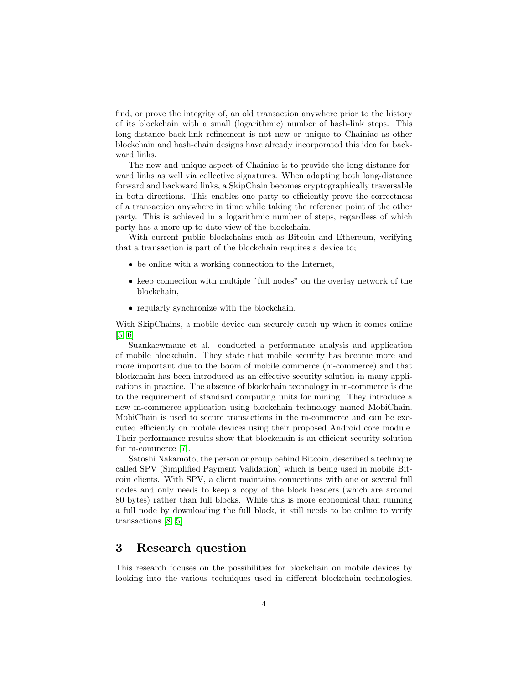find, or prove the integrity of, an old transaction anywhere prior to the history of its blockchain with a small (logarithmic) number of hash-link steps. This long-distance back-link refinement is not new or unique to Chainiac as other blockchain and hash-chain designs have already incorporated this idea for backward links.

The new and unique aspect of Chainiac is to provide the long-distance forward links as well via collective signatures. When adapting both long-distance forward and backward links, a SkipChain becomes cryptographically traversable in both directions. This enables one party to efficiently prove the correctness of a transaction anywhere in time while taking the reference point of the other party. This is achieved in a logarithmic number of steps, regardless of which party has a more up-to-date view of the blockchain.

With current public blockchains such as Bitcoin and Ethereum, verifying that a transaction is part of the blockchain requires a device to;

- be online with a working connection to the Internet,
- keep connection with multiple "full nodes" on the overlay network of the blockchain,
- regularly synchronize with the blockchain.

With SkipChains, a mobile device can securely catch up when it comes online [\[5,](#page-24-4) [6\]](#page-24-5).

Suankaewmane et al. conducted a performance analysis and application of mobile blockchain. They state that mobile security has become more and more important due to the boom of mobile commerce (m-commerce) and that blockchain has been introduced as an effective security solution in many applications in practice. The absence of blockchain technology in m-commerce is due to the requirement of standard computing units for mining. They introduce a new m-commerce application using blockchain technology named MobiChain. MobiChain is used to secure transactions in the m-commerce and can be executed efficiently on mobile devices using their proposed Android core module. Their performance results show that blockchain is an efficient security solution for m-commerce [\[7\]](#page-24-6).

Satoshi Nakamoto, the person or group behind Bitcoin, described a technique called SPV (Simplified Payment Validation) which is being used in mobile Bitcoin clients. With SPV, a client maintains connections with one or several full nodes and only needs to keep a copy of the block headers (which are around 80 bytes) rather than full blocks. While this is more economical than running a full node by downloading the full block, it still needs to be online to verify transactions [\[8,](#page-24-7) [5\]](#page-24-4).

## <span id="page-4-0"></span>3 Research question

This research focuses on the possibilities for blockchain on mobile devices by looking into the various techniques used in different blockchain technologies.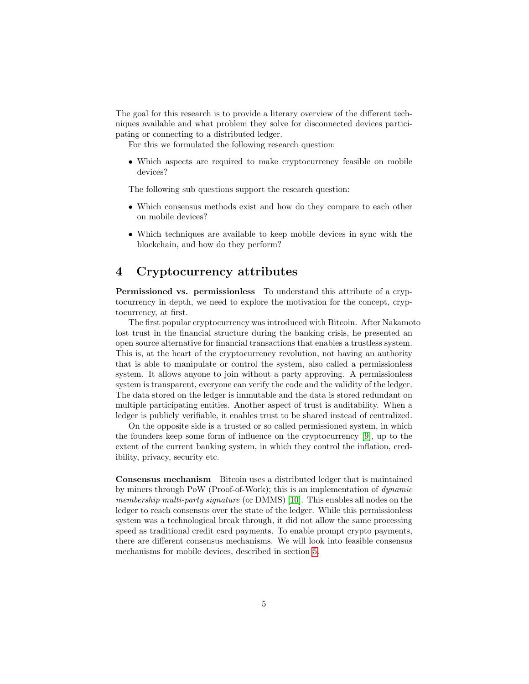The goal for this research is to provide a literary overview of the different techniques available and what problem they solve for disconnected devices participating or connecting to a distributed ledger.

For this we formulated the following research question:

• Which aspects are required to make cryptocurrency feasible on mobile devices?

The following sub questions support the research question:

- Which consensus methods exist and how do they compare to each other on mobile devices?
- Which techniques are available to keep mobile devices in sync with the blockchain, and how do they perform?

## <span id="page-5-0"></span>4 Cryptocurrency attributes

Permissioned vs. permissionless To understand this attribute of a cryptocurrency in depth, we need to explore the motivation for the concept, cryptocurrency, at first.

The first popular cryptocurrency was introduced with Bitcoin. After Nakamoto lost trust in the financial structure during the banking crisis, he presented an open source alternative for financial transactions that enables a trustless system. This is, at the heart of the cryptocurrency revolution, not having an authority that is able to manipulate or control the system, also called a permissionless system. It allows anyone to join without a party approving. A permissionless system is transparent, everyone can verify the code and the validity of the ledger. The data stored on the ledger is immutable and the data is stored redundant on multiple participating entities. Another aspect of trust is auditability. When a ledger is publicly verifiable, it enables trust to be shared instead of centralized.

On the opposite side is a trusted or so called permissioned system, in which the founders keep some form of influence on the cryptocurrency [\[9\]](#page-24-8), up to the extent of the current banking system, in which they control the inflation, credibility, privacy, security etc.

Consensus mechanism Bitcoin uses a distributed ledger that is maintained by miners through PoW (Proof-of-Work); this is an implementation of dynamic membership multi-party signature (or DMMS) [\[10\]](#page-24-9). This enables all nodes on the ledger to reach consensus over the state of the ledger. While this permissionless system was a technological break through, it did not allow the same processing speed as traditional credit card payments. To enable prompt crypto payments, there are different consensus mechanisms. We will look into feasible consensus mechanisms for mobile devices, described in section [5.](#page-6-0)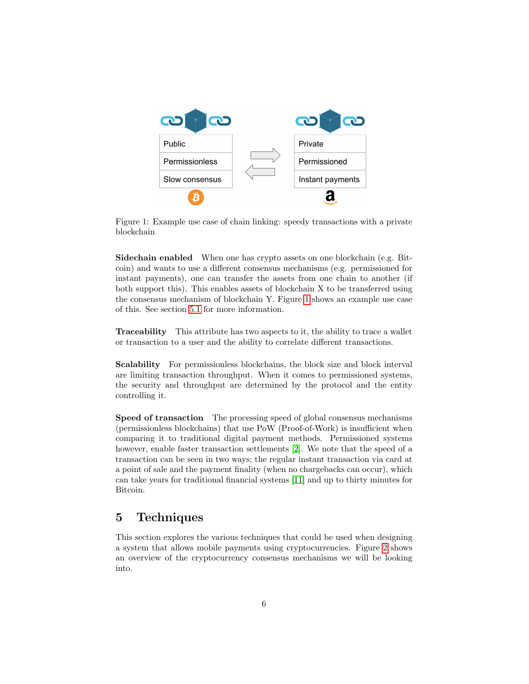<span id="page-6-1"></span>

Figure 1: Example use case of chain linking: speedy transactions with a private blockchain

Sidechain enabled When one has crypto assets on one blockchain (e.g. Bitcoin) and wants to use a different consensus mechanisms (e.g. permissioned for instant payments), one can transfer the assets from one chain to another (if both support this). This enables assets of blockchain X to be transferred using the consensus mechanism of blockchain Y. Figure [1](#page-6-1) shows an example use case of this. See section [5.1](#page-7-0) for more information.

Traceability This attribute has two aspects to it, the ability to trace a wallet or transaction to a user and the ability to correlate different transactions.

Scalability For permissionless blockchains, the block size and block interval are limiting transaction throughput. When it comes to permissioned systems, the security and throughput are determined by the protocol and the entity controlling it.

Speed of transaction The processing speed of global consensus mechanisms (permissionless blockchains) that use PoW (Proof-of-Work) is insufficient when comparing it to traditional digital payment methods. Permissioned systems however, enable faster transaction settlements [\[2\]](#page-24-1). We note that the speed of a transaction can be seen in two ways; the regular instant transaction via card at a point of sale and the payment finality (when no chargebacks can occur), which can take years for traditional financial systems [\[11\]](#page-25-0) and up to thirty minutes for Bitcoin.

## <span id="page-6-0"></span>5 Techniques

This section explores the various techniques that could be used when designing a system that allows mobile payments using cryptocurrencies. Figure [2](#page-7-1) shows an overview of the cryptocurrency consensus mechanisms we will be looking into.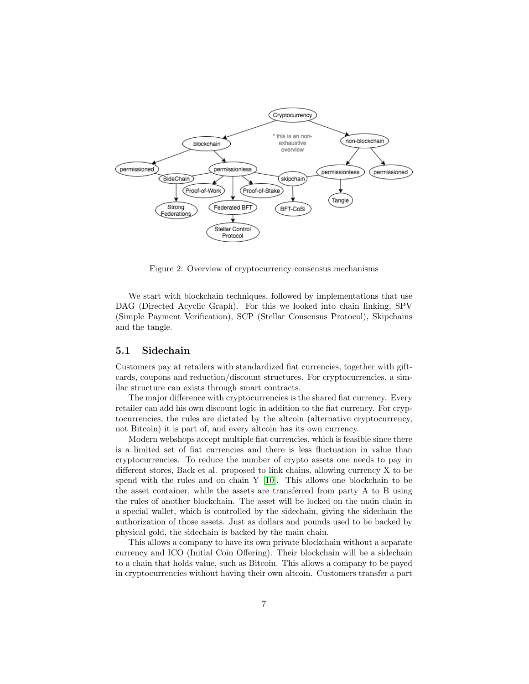

<span id="page-7-1"></span>Figure 2: Overview of cryptocurrency consensus mechanisms

We start with blockchain techniques, followed by implementations that use DAG (Directed Acyclic Graph). For this we looked into chain linking, SPV (Simple Payment Verification), SCP (Stellar Consensus Protocol), Skipchains and the tangle.

#### <span id="page-7-0"></span>5.1 Sidechain

Customers pay at retailers with standardized fiat currencies, together with giftcards, coupons and reduction/discount structures. For cryptocurrencies, a similar structure can exists through smart contracts.

The major difference with cryptocurrencies is the shared fiat currency. Every retailer can add his own discount logic in addition to the fiat currency. For cryptocurrencies, the rules are dictated by the altcoin (alternative cryptocurrency, not Bitcoin) it is part of, and every altcoin has its own currency.

Modern webshops accept multiple fiat currencies, which is feasible since there is a limited set of fiat currencies and there is less fluctuation in value than cryptocurrencies. To reduce the number of crypto assets one needs to pay in different stores, Back et al. proposed to link chains, allowing currency X to be spend with the rules and on chain Y [\[10\]](#page-24-9). This allows one blockchain to be the asset container, while the assets are transferred from party A to B using the rules of another blockchain. The asset will be locked on the main chain in a special wallet, which is controlled by the sidechain, giving the sidechain the authorization of those assets. Just as dollars and pounds used to be backed by physical gold, the sidechain is backed by the main chain.

This allows a company to have its own private blockchain without a separate currency and ICO (Initial Coin Offering). Their blockchain will be a sidechain to a chain that holds value, such as Bitcoin. This allows a company to be payed in cryptocurrencies without having their own altcoin. Customers transfer a part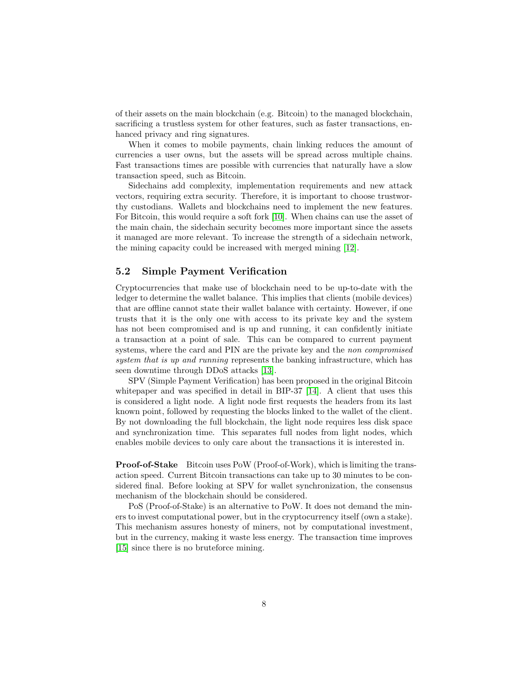of their assets on the main blockchain (e.g. Bitcoin) to the managed blockchain, sacrificing a trustless system for other features, such as faster transactions, enhanced privacy and ring signatures.

When it comes to mobile payments, chain linking reduces the amount of currencies a user owns, but the assets will be spread across multiple chains. Fast transactions times are possible with currencies that naturally have a slow transaction speed, such as Bitcoin.

Sidechains add complexity, implementation requirements and new attack vectors, requiring extra security. Therefore, it is important to choose trustworthy custodians. Wallets and blockchains need to implement the new features. For Bitcoin, this would require a soft fork [\[10\]](#page-24-9). When chains can use the asset of the main chain, the sidechain security becomes more important since the assets it managed are more relevant. To increase the strength of a sidechain network, the mining capacity could be increased with merged mining [\[12\]](#page-25-1).

#### <span id="page-8-0"></span>5.2 Simple Payment Verification

Cryptocurrencies that make use of blockchain need to be up-to-date with the ledger to determine the wallet balance. This implies that clients (mobile devices) that are offline cannot state their wallet balance with certainty. However, if one trusts that it is the only one with access to its private key and the system has not been compromised and is up and running, it can confidently initiate a transaction at a point of sale. This can be compared to current payment systems, where the card and PIN are the private key and the non compromised system that is up and running represents the banking infrastructure, which has seen downtime through DDoS attacks [\[13\]](#page-25-2).

SPV (Simple Payment Verification) has been proposed in the original Bitcoin whitepaper and was specified in detail in BIP-37 [\[14\]](#page-25-3). A client that uses this is considered a light node. A light node first requests the headers from its last known point, followed by requesting the blocks linked to the wallet of the client. By not downloading the full blockchain, the light node requires less disk space and synchronization time. This separates full nodes from light nodes, which enables mobile devices to only care about the transactions it is interested in.

Proof-of-Stake Bitcoin uses PoW (Proof-of-Work), which is limiting the transaction speed. Current Bitcoin transactions can take up to 30 minutes to be considered final. Before looking at SPV for wallet synchronization, the consensus mechanism of the blockchain should be considered.

PoS (Proof-of-Stake) is an alternative to PoW. It does not demand the miners to invest computational power, but in the cryptocurrency itself (own a stake). This mechanism assures honesty of miners, not by computational investment, but in the currency, making it waste less energy. The transaction time improves [\[15\]](#page-25-4) since there is no bruteforce mining.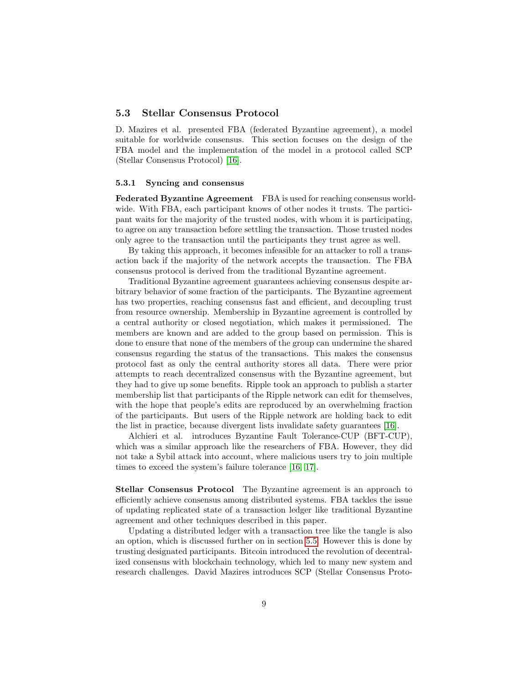#### <span id="page-9-0"></span>5.3 Stellar Consensus Protocol

D. Mazires et al. presented FBA (federated Byzantine agreement), a model suitable for worldwide consensus. This section focuses on the design of the FBA model and the implementation of the model in a protocol called SCP (Stellar Consensus Protocol) [\[16\]](#page-25-5).

#### <span id="page-9-1"></span>5.3.1 Syncing and consensus

Federated Byzantine Agreement FBA is used for reaching consensus worldwide. With FBA, each participant knows of other nodes it trusts. The participant waits for the majority of the trusted nodes, with whom it is participating, to agree on any transaction before settling the transaction. Those trusted nodes only agree to the transaction until the participants they trust agree as well.

By taking this approach, it becomes infeasible for an attacker to roll a transaction back if the majority of the network accepts the transaction. The FBA consensus protocol is derived from the traditional Byzantine agreement.

Traditional Byzantine agreement guarantees achieving consensus despite arbitrary behavior of some fraction of the participants. The Byzantine agreement has two properties, reaching consensus fast and efficient, and decoupling trust from resource ownership. Membership in Byzantine agreement is controlled by a central authority or closed negotiation, which makes it permissioned. The members are known and are added to the group based on permission. This is done to ensure that none of the members of the group can undermine the shared consensus regarding the status of the transactions. This makes the consensus protocol fast as only the central authority stores all data. There were prior attempts to reach decentralized consensus with the Byzantine agreement, but they had to give up some benefits. Ripple took an approach to publish a starter membership list that participants of the Ripple network can edit for themselves, with the hope that people's edits are reproduced by an overwhelming fraction of the participants. But users of the Ripple network are holding back to edit the list in practice, because divergent lists invalidate safety guarantees [\[16\]](#page-25-5).

Alchieri et al. introduces Byzantine Fault Tolerance-CUP (BFT-CUP), which was a similar approach like the researchers of FBA. However, they did not take a Sybil attack into account, where malicious users try to join multiple times to exceed the system's failure tolerance [\[16,](#page-25-5) [17\]](#page-25-6).

Stellar Consensus Protocol The Byzantine agreement is an approach to efficiently achieve consensus among distributed systems. FBA tackles the issue of updating replicated state of a transaction ledger like traditional Byzantine agreement and other techniques described in this paper.

Updating a distributed ledger with a transaction tree like the tangle is also an option, which is discussed further on in section [5.5.](#page-15-0) However this is done by trusting designated participants. Bitcoin introduced the revolution of decentralized consensus with blockchain technology, which led to many new system and research challenges. David Mazires introduces SCP (Stellar Consensus Proto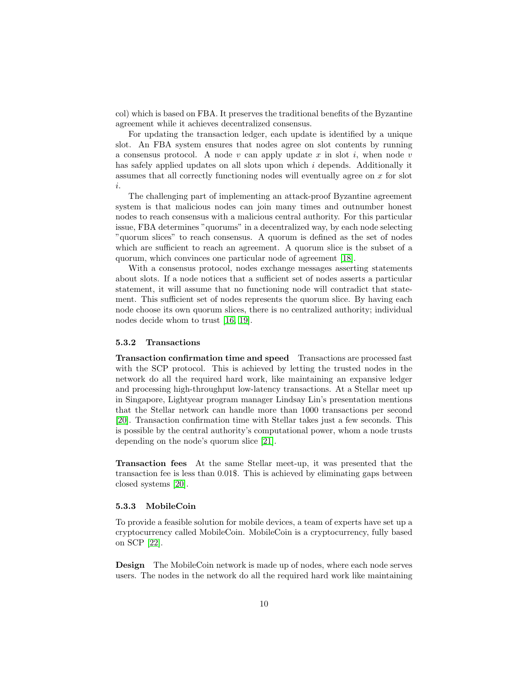col) which is based on FBA. It preserves the traditional benefits of the Byzantine agreement while it achieves decentralized consensus.

For updating the transaction ledger, each update is identified by a unique slot. An FBA system ensures that nodes agree on slot contents by running a consensus protocol. A node v can apply update x in slot i, when node v has safely applied updates on all slots upon which i depends. Additionally it assumes that all correctly functioning nodes will eventually agree on  $x$  for slot i.

The challenging part of implementing an attack-proof Byzantine agreement system is that malicious nodes can join many times and outnumber honest nodes to reach consensus with a malicious central authority. For this particular issue, FBA determines "quorums" in a decentralized way, by each node selecting "quorum slices" to reach consensus. A quorum is defined as the set of nodes which are sufficient to reach an agreement. A quorum slice is the subset of a quorum, which convinces one particular node of agreement [\[18\]](#page-25-7).

With a consensus protocol, nodes exchange messages asserting statements about slots. If a node notices that a sufficient set of nodes asserts a particular statement, it will assume that no functioning node will contradict that statement. This sufficient set of nodes represents the quorum slice. By having each node choose its own quorum slices, there is no centralized authority; individual nodes decide whom to trust [\[16,](#page-25-5) [19\]](#page-25-8).

#### <span id="page-10-0"></span>5.3.2 Transactions

<span id="page-10-2"></span>Transaction confirmation time and speed Transactions are processed fast with the SCP protocol. This is achieved by letting the trusted nodes in the network do all the required hard work, like maintaining an expansive ledger and processing high-throughput low-latency transactions. At a Stellar meet up in Singapore, Lightyear program manager Lindsay Lin's presentation mentions that the Stellar network can handle more than 1000 transactions per second [\[20\]](#page-25-9). Transaction confirmation time with Stellar takes just a few seconds. This is possible by the central authority's computational power, whom a node trusts depending on the node's quorum slice [\[21\]](#page-25-10).

Transaction fees At the same Stellar meet-up, it was presented that the transaction fee is less than 0.01\$. This is achieved by eliminating gaps between closed systems [\[20\]](#page-25-9).

#### <span id="page-10-1"></span>5.3.3 MobileCoin

To provide a feasible solution for mobile devices, a team of experts have set up a cryptocurrency called MobileCoin. MobileCoin is a cryptocurrency, fully based on SCP [\[22\]](#page-26-0).

Design The MobileCoin network is made up of nodes, where each node serves users. The nodes in the network do all the required hard work like maintaining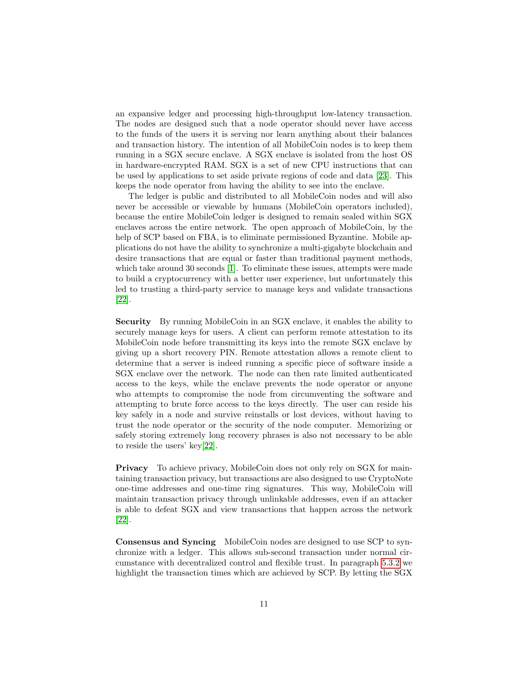an expansive ledger and processing high-throughput low-latency transaction. The nodes are designed such that a node operator should never have access to the funds of the users it is serving nor learn anything about their balances and transaction history. The intention of all MobileCoin nodes is to keep them running in a SGX secure enclave. A SGX enclave is isolated from the host OS in hardware-encrypted RAM. SGX is a set of new CPU instructions that can be used by applications to set aside private regions of code and data [\[23\]](#page-26-1). This keeps the node operator from having the ability to see into the enclave.

The ledger is public and distributed to all MobileCoin nodes and will also never be accessible or viewable by humans (MobileCoin operators included), because the entire MobileCoin ledger is designed to remain sealed within SGX enclaves across the entire network. The open approach of MobileCoin, by the help of SCP based on FBA, is to eliminate permissioned Byzantine. Mobile applications do not have the ability to synchronize a multi-gigabyte blockchain and desire transactions that are equal or faster than traditional payment methods, which take around 30 seconds [\[1\]](#page-24-0). To eliminate these issues, attempts were made to build a cryptocurrency with a better user experience, but unfortunately this led to trusting a third-party service to manage keys and validate transactions [\[22\]](#page-26-0).

Security By running MobileCoin in an SGX enclave, it enables the ability to securely manage keys for users. A client can perform remote attestation to its MobileCoin node before transmitting its keys into the remote SGX enclave by giving up a short recovery PIN. Remote attestation allows a remote client to determine that a server is indeed running a specific piece of software inside a SGX enclave over the network. The node can then rate limited authenticated access to the keys, while the enclave prevents the node operator or anyone who attempts to compromise the node from circumventing the software and attempting to brute force access to the keys directly. The user can reside his key safely in a node and survive reinstalls or lost devices, without having to trust the node operator or the security of the node computer. Memorizing or safely storing extremely long recovery phrases is also not necessary to be able to reside the users' key[\[22\]](#page-26-0).

Privacy To achieve privacy, MobileCoin does not only rely on SGX for maintaining transaction privacy, but transactions are also designed to use CryptoNote one-time addresses and one-time ring signatures. This way, MobileCoin will maintain transaction privacy through unlinkable addresses, even if an attacker is able to defeat SGX and view transactions that happen across the network [\[22\]](#page-26-0).

Consensus and Syncing MobileCoin nodes are designed to use SCP to synchronize with a ledger. This allows sub-second transaction under normal circumstance with decentralized control and flexible trust. In paragraph [5.3.2](#page-10-2) we highlight the transaction times which are achieved by SCP. By letting the SGX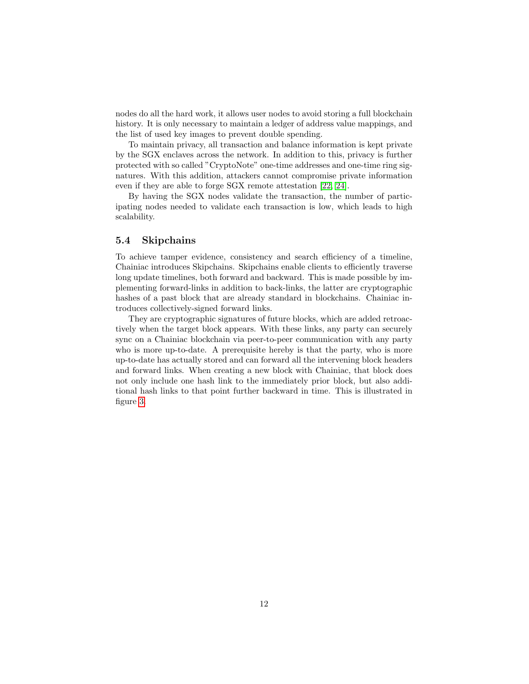nodes do all the hard work, it allows user nodes to avoid storing a full blockchain history. It is only necessary to maintain a ledger of address value mappings, and the list of used key images to prevent double spending.

To maintain privacy, all transaction and balance information is kept private by the SGX enclaves across the network. In addition to this, privacy is further protected with so called "CryptoNote" one-time addresses and one-time ring signatures. With this addition, attackers cannot compromise private information even if they are able to forge SGX remote attestation [\[22,](#page-26-0) [24\]](#page-26-2).

By having the SGX nodes validate the transaction, the number of participating nodes needed to validate each transaction is low, which leads to high scalability.

#### <span id="page-12-0"></span>5.4 Skipchains

To achieve tamper evidence, consistency and search efficiency of a timeline, Chainiac introduces Skipchains. Skipchains enable clients to efficiently traverse long update timelines, both forward and backward. This is made possible by implementing forward-links in addition to back-links, the latter are cryptographic hashes of a past block that are already standard in blockchains. Chainiac introduces collectively-signed forward links.

They are cryptographic signatures of future blocks, which are added retroactively when the target block appears. With these links, any party can securely sync on a Chainiac blockchain via peer-to-peer communication with any party who is more up-to-date. A prerequisite hereby is that the party, who is more up-to-date has actually stored and can forward all the intervening block headers and forward links. When creating a new block with Chainiac, that block does not only include one hash link to the immediately prior block, but also additional hash links to that point further backward in time. This is illustrated in figure [3.](#page-13-1)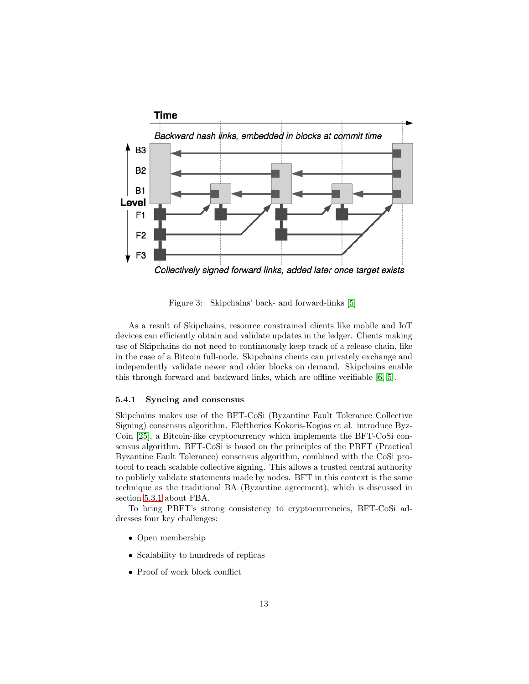

<span id="page-13-1"></span>Figure 3: Skipchains' back- and forward-links [\[5\]](#page-24-4)

As a result of Skipchains, resource constrained clients like mobile and IoT devices can efficiently obtain and validate updates in the ledger. Clients making use of Skipchains do not need to continuously keep track of a release chain, like in the case of a Bitcoin full-node. Skipchains clients can privately exchange and independently validate newer and older blocks on demand. Skipchains enable this through forward and backward links, which are offline verifiable [\[6,](#page-24-5) [5\]](#page-24-4).

#### <span id="page-13-0"></span>5.4.1 Syncing and consensus

Skipchains makes use of the BFT-CoSi (Byzantine Fault Tolerance Collective Signing) consensus algorithm. Eleftherios Kokoris-Kogias et al. introduce Byz-Coin [\[25\]](#page-26-3), a Bitcoin-like cryptocurrency which implements the BFT-CoSi consensus algorithm. BFT-CoSi is based on the principles of the PBFT (Practical Byzantine Fault Tolerance) consensus algorithm, combined with the CoSi protocol to reach scalable collective signing. This allows a trusted central authority to publicly validate statements made by nodes. BFT in this context is the same technique as the traditional BA (Byzantine agreement), which is discussed in section [5.3.1](#page-9-1) about FBA.

To bring PBFT's strong consistency to cryptocurrencies, BFT-CoSi addresses four key challenges:

- Open membership
- Scalability to hundreds of replicas
- Proof of work block conflict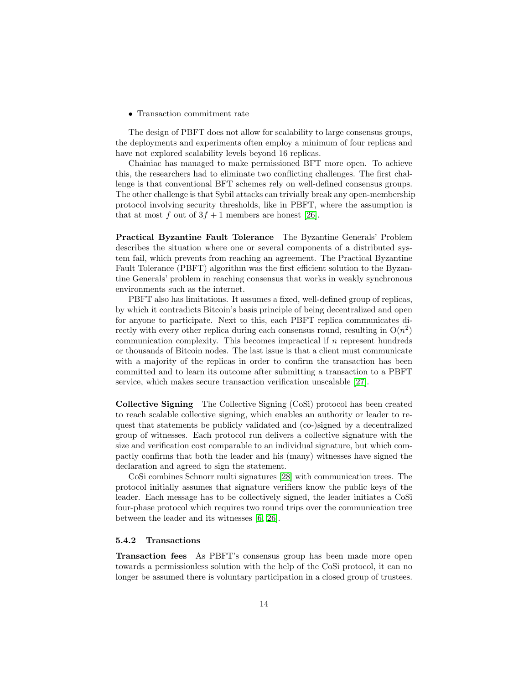• Transaction commitment rate

The design of PBFT does not allow for scalability to large consensus groups, the deployments and experiments often employ a minimum of four replicas and have not explored scalability levels beyond 16 replicas.

Chainiac has managed to make permissioned BFT more open. To achieve this, the researchers had to eliminate two conflicting challenges. The first challenge is that conventional BFT schemes rely on well-defined consensus groups. The other challenge is that Sybil attacks can trivially break any open-membership protocol involving security thresholds, like in PBFT, where the assumption is that at most f out of  $3f + 1$  members are honest [\[26\]](#page-26-4).

Practical Byzantine Fault Tolerance The Byzantine Generals' Problem describes the situation where one or several components of a distributed system fail, which prevents from reaching an agreement. The Practical Byzantine Fault Tolerance (PBFT) algorithm was the first efficient solution to the Byzantine Generals' problem in reaching consensus that works in weakly synchronous environments such as the internet.

PBFT also has limitations. It assumes a fixed, well-defined group of replicas, by which it contradicts Bitcoin's basis principle of being decentralized and open for anyone to participate. Next to this, each PBFT replica communicates directly with every other replica during each consensus round, resulting in  $O(n^2)$ communication complexity. This becomes impractical if  $n$  represent hundreds or thousands of Bitcoin nodes. The last issue is that a client must communicate with a majority of the replicas in order to confirm the transaction has been committed and to learn its outcome after submitting a transaction to a PBFT service, which makes secure transaction verification unscalable [\[27\]](#page-26-5).

Collective Signing The Collective Signing (CoSi) protocol has been created to reach scalable collective signing, which enables an authority or leader to request that statements be publicly validated and (co-)signed by a decentralized group of witnesses. Each protocol run delivers a collective signature with the size and verification cost comparable to an individual signature, but which compactly confirms that both the leader and his (many) witnesses have signed the declaration and agreed to sign the statement.

CoSi combines Schnorr multi signatures [\[28\]](#page-26-6) with communication trees. The protocol initially assumes that signature verifiers know the public keys of the leader. Each message has to be collectively signed, the leader initiates a CoSi four-phase protocol which requires two round trips over the communication tree between the leader and its witnesses [\[6,](#page-24-5) [26\]](#page-26-4).

#### <span id="page-14-0"></span>5.4.2 Transactions

Transaction fees As PBFT's consensus group has been made more open towards a permissionless solution with the help of the CoSi protocol, it can no longer be assumed there is voluntary participation in a closed group of trustees.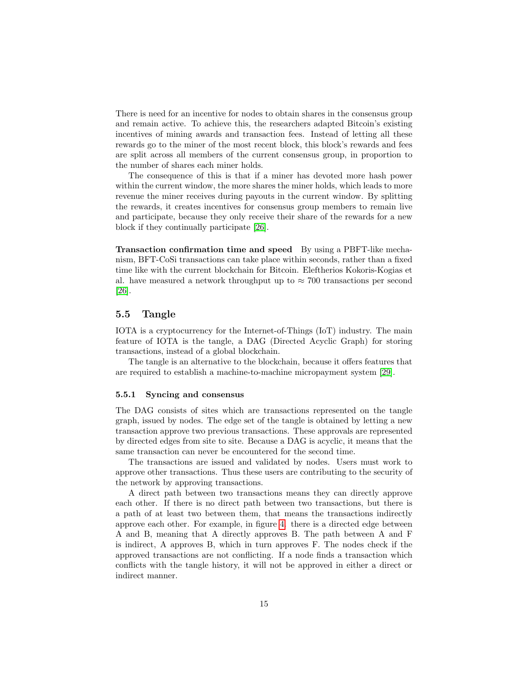There is need for an incentive for nodes to obtain shares in the consensus group and remain active. To achieve this, the researchers adapted Bitcoin's existing incentives of mining awards and transaction fees. Instead of letting all these rewards go to the miner of the most recent block, this block's rewards and fees are split across all members of the current consensus group, in proportion to the number of shares each miner holds.

The consequence of this is that if a miner has devoted more hash power within the current window, the more shares the miner holds, which leads to more revenue the miner receives during payouts in the current window. By splitting the rewards, it creates incentives for consensus group members to remain live and participate, because they only receive their share of the rewards for a new block if they continually participate [\[26\]](#page-26-4).

Transaction confirmation time and speed By using a PBFT-like mechanism, BFT-CoSi transactions can take place within seconds, rather than a fixed time like with the current blockchain for Bitcoin. Eleftherios Kokoris-Kogias et al. have measured a network throughput up to  $\approx 700$  transactions per second [\[26\]](#page-26-4).

#### <span id="page-15-0"></span>5.5 Tangle

IOTA is a cryptocurrency for the Internet-of-Things (IoT) industry. The main feature of IOTA is the tangle, a DAG (Directed Acyclic Graph) for storing transactions, instead of a global blockchain.

The tangle is an alternative to the blockchain, because it offers features that are required to establish a machine-to-machine micropayment system [\[29\]](#page-26-7).

#### <span id="page-15-1"></span>5.5.1 Syncing and consensus

The DAG consists of sites which are transactions represented on the tangle graph, issued by nodes. The edge set of the tangle is obtained by letting a new transaction approve two previous transactions. These approvals are represented by directed edges from site to site. Because a DAG is acyclic, it means that the same transaction can never be encountered for the second time.

The transactions are issued and validated by nodes. Users must work to approve other transactions. Thus these users are contributing to the security of the network by approving transactions.

A direct path between two transactions means they can directly approve each other. If there is no direct path between two transactions, but there is a path of at least two between them, that means the transactions indirectly approve each other. For example, in figure [4.](#page-16-0) there is a directed edge between A and B, meaning that A directly approves B. The path between A and F is indirect, A approves B, which in turn approves F. The nodes check if the approved transactions are not conflicting. If a node finds a transaction which conflicts with the tangle history, it will not be approved in either a direct or indirect manner.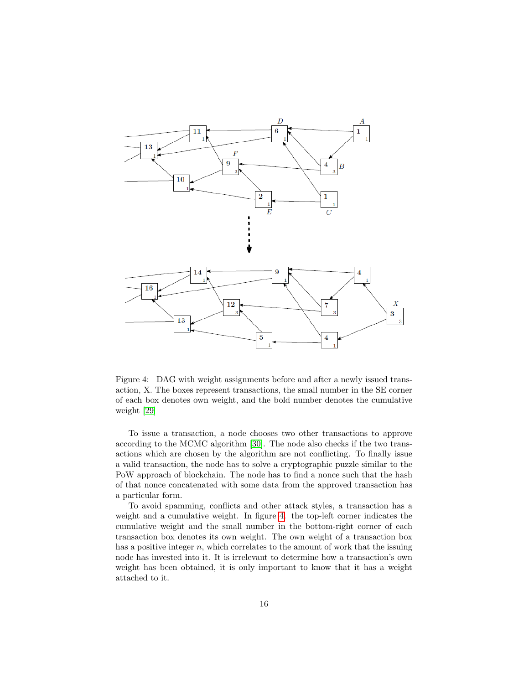

<span id="page-16-0"></span>Figure 4: DAG with weight assignments before and after a newly issued transaction, X. The boxes represent transactions, the small number in the SE corner of each box denotes own weight, and the bold number denotes the cumulative weight [\[29\]](#page-26-7)

To issue a transaction, a node chooses two other transactions to approve according to the MCMC algorithm [\[30\]](#page-26-8). The node also checks if the two transactions which are chosen by the algorithm are not conflicting. To finally issue a valid transaction, the node has to solve a cryptographic puzzle similar to the PoW approach of blockchain. The node has to find a nonce such that the hash of that nonce concatenated with some data from the approved transaction has a particular form.

To avoid spamming, conflicts and other attack styles, a transaction has a weight and a cumulative weight. In figure [4.](#page-16-0) the top-left corner indicates the cumulative weight and the small number in the bottom-right corner of each transaction box denotes its own weight. The own weight of a transaction box has a positive integer  $n$ , which correlates to the amount of work that the issuing node has invested into it. It is irrelevant to determine how a transaction's own weight has been obtained, it is only important to know that it has a weight attached to it.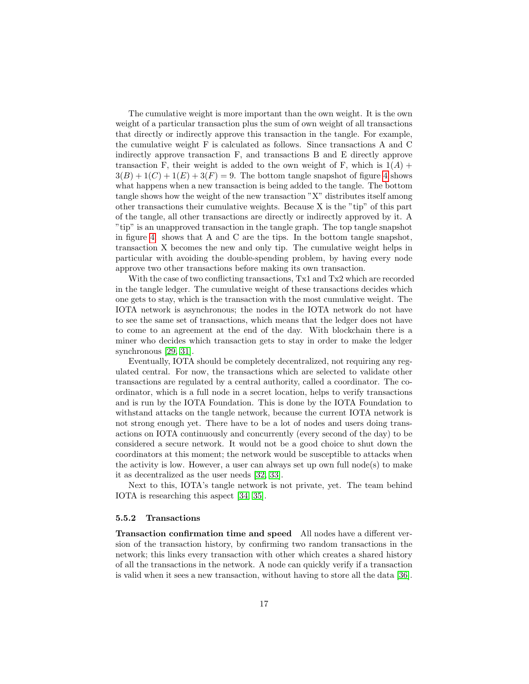The cumulative weight is more important than the own weight. It is the own weight of a particular transaction plus the sum of own weight of all transactions that directly or indirectly approve this transaction in the tangle. For example, the cumulative weight F is calculated as follows. Since transactions A and C indirectly approve transaction F, and transactions B and E directly approve transaction F, their weight is added to the own weight of F, which is  $1(A)$  +  $3(B) + 1(C) + 1(E) + 3(F) = 9$ . The bottom tangle snapshot of figure [4](#page-16-0) shows what happens when a new transaction is being added to the tangle. The bottom tangle shows how the weight of the new transaction "X" distributes itself among other transactions their cumulative weights. Because X is the "tip" of this part of the tangle, all other transactions are directly or indirectly approved by it. A "tip" is an unapproved transaction in the tangle graph. The top tangle snapshot in figure [4.](#page-16-0) shows that A and C are the tips. In the bottom tangle snapshot, transaction X becomes the new and only tip. The cumulative weight helps in particular with avoiding the double-spending problem, by having every node approve two other transactions before making its own transaction.

With the case of two conflicting transactions, Tx1 and Tx2 which are recorded in the tangle ledger. The cumulative weight of these transactions decides which one gets to stay, which is the transaction with the most cumulative weight. The IOTA network is asynchronous; the nodes in the IOTA network do not have to see the same set of transactions, which means that the ledger does not have to come to an agreement at the end of the day. With blockchain there is a miner who decides which transaction gets to stay in order to make the ledger synchronous [\[29,](#page-26-7) [31\]](#page-26-9).

Eventually, IOTA should be completely decentralized, not requiring any regulated central. For now, the transactions which are selected to validate other transactions are regulated by a central authority, called a coordinator. The coordinator, which is a full node in a secret location, helps to verify transactions and is run by the IOTA Foundation. This is done by the IOTA Foundation to withstand attacks on the tangle network, because the current IOTA network is not strong enough yet. There have to be a lot of nodes and users doing transactions on IOTA continuously and concurrently (every second of the day) to be considered a secure network. It would not be a good choice to shut down the coordinators at this moment; the network would be susceptible to attacks when the activity is low. However, a user can always set up own full node(s) to make it as decentralized as the user needs [\[32,](#page-26-10) [33\]](#page-26-11).

Next to this, IOTA's tangle network is not private, yet. The team behind IOTA is researching this aspect [\[34,](#page-26-12) [35\]](#page-27-0).

#### <span id="page-17-0"></span>5.5.2 Transactions

Transaction confirmation time and speed All nodes have a different version of the transaction history, by confirming two random transactions in the network; this links every transaction with other which creates a shared history of all the transactions in the network. A node can quickly verify if a transaction is valid when it sees a new transaction, without having to store all the data [\[36\]](#page-27-1).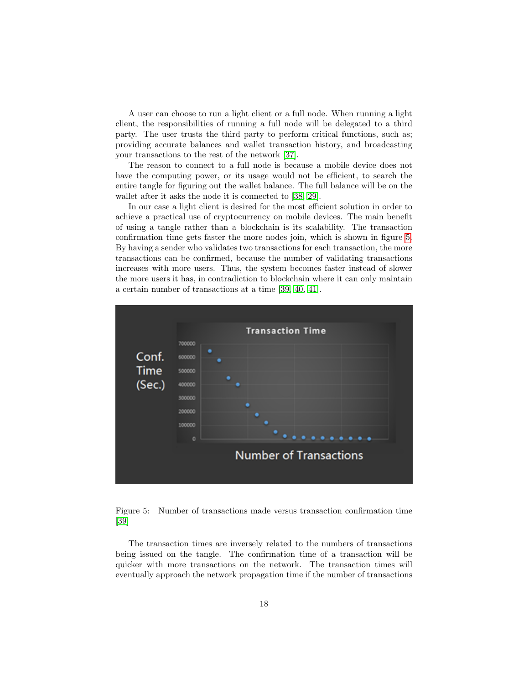A user can choose to run a light client or a full node. When running a light client, the responsibilities of running a full node will be delegated to a third party. The user trusts the third party to perform critical functions, such as; providing accurate balances and wallet transaction history, and broadcasting your transactions to the rest of the network [\[37\]](#page-27-2).

The reason to connect to a full node is because a mobile device does not have the computing power, or its usage would not be efficient, to search the entire tangle for figuring out the wallet balance. The full balance will be on the wallet after it asks the node it is connected to [\[38,](#page-27-3) [29\]](#page-26-7).

In our case a light client is desired for the most efficient solution in order to achieve a practical use of cryptocurrency on mobile devices. The main benefit of using a tangle rather than a blockchain is its scalability. The transaction confirmation time gets faster the more nodes join, which is shown in figure [5.](#page-18-0) By having a sender who validates two transactions for each transaction, the more transactions can be confirmed, because the number of validating transactions increases with more users. Thus, the system becomes faster instead of slower the more users it has, in contradiction to blockchain where it can only maintain a certain number of transactions at a time [\[39,](#page-27-4) [40,](#page-27-5) [41\]](#page-27-6).



<span id="page-18-0"></span>Figure 5: Number of transactions made versus transaction confirmation time [\[39\]](#page-27-4)

The transaction times are inversely related to the numbers of transactions being issued on the tangle. The confirmation time of a transaction will be quicker with more transactions on the network. The transaction times will eventually approach the network propagation time if the number of transactions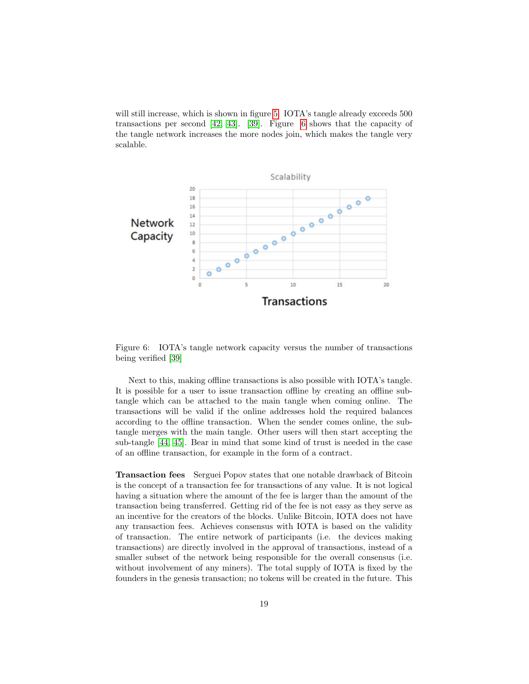will still increase, which is shown in figure [5.](#page-18-0) IOTA's tangle already exceeds  $500$ transactions per second [\[42,](#page-27-7) [43\]](#page-27-8). [\[39\]](#page-27-4). Figure [6](#page-19-0) shows that the capacity of the tangle network increases the more nodes join, which makes the tangle very scalable.



<span id="page-19-0"></span>Figure 6: IOTA's tangle network capacity versus the number of transactions being verified [\[39\]](#page-27-4)

Next to this, making offline transactions is also possible with IOTA's tangle. It is possible for a user to issue transaction offline by creating an offline subtangle which can be attached to the main tangle when coming online. The transactions will be valid if the online addresses hold the required balances according to the offline transaction. When the sender comes online, the subtangle merges with the main tangle. Other users will then start accepting the sub-tangle [\[44,](#page-27-9) [45\]](#page-27-10). Bear in mind that some kind of trust is needed in the case of an offline transaction, for example in the form of a contract.

Transaction fees Serguei Popov states that one notable drawback of Bitcoin is the concept of a transaction fee for transactions of any value. It is not logical having a situation where the amount of the fee is larger than the amount of the transaction being transferred. Getting rid of the fee is not easy as they serve as an incentive for the creators of the blocks. Unlike Bitcoin, IOTA does not have any transaction fees. Achieves consensus with IOTA is based on the validity of transaction. The entire network of participants (i.e. the devices making transactions) are directly involved in the approval of transactions, instead of a smaller subset of the network being responsible for the overall consensus (i.e. without involvement of any miners). The total supply of IOTA is fixed by the founders in the genesis transaction; no tokens will be created in the future. This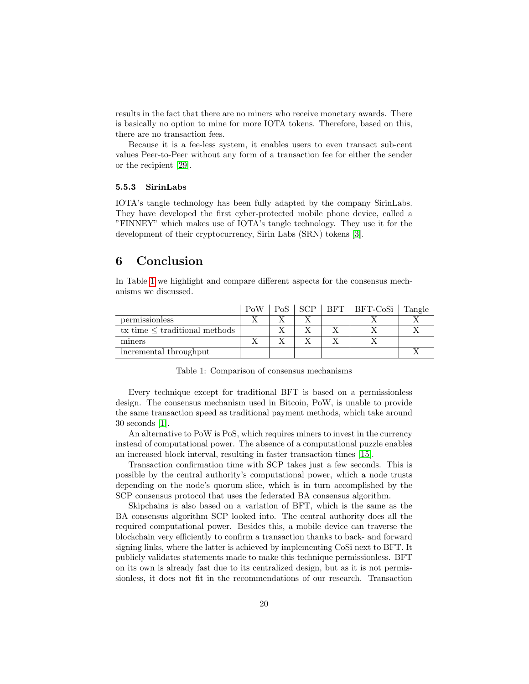results in the fact that there are no miners who receive monetary awards. There is basically no option to mine for more IOTA tokens. Therefore, based on this, there are no transaction fees.

Because it is a fee-less system, it enables users to even transact sub-cent values Peer-to-Peer without any form of a transaction fee for either the sender or the recipient [\[29\]](#page-26-7).

#### <span id="page-20-0"></span>5.5.3 SirinLabs

IOTA's tangle technology has been fully adapted by the company SirinLabs. They have developed the first cyber-protected mobile phone device, called a "FINNEY" which makes use of IOTA's tangle technology. They use it for the development of their cryptocurrency, Sirin Labs (SRN) tokens [\[3\]](#page-24-2).

### <span id="page-20-1"></span>6 Conclusion

In Table [1](#page-20-2) we highlight and compare different aspects for the consensus mechanisms we discussed.

|                                    | PoW | PoS | SCP | BFT   BFT-CoSi | Tangle |
|------------------------------------|-----|-----|-----|----------------|--------|
| permissionless                     |     |     |     |                |        |
| tx time $\leq$ traditional methods |     |     |     |                |        |
| miners                             |     |     |     |                |        |
| incremental throughput             |     |     |     |                |        |

Table 1: Comparison of consensus mechanisms

<span id="page-20-2"></span>Every technique except for traditional BFT is based on a permissionless design. The consensus mechanism used in Bitcoin, PoW, is unable to provide the same transaction speed as traditional payment methods, which take around 30 seconds [\[1\]](#page-24-0).

An alternative to PoW is PoS, which requires miners to invest in the currency instead of computational power. The absence of a computational puzzle enables an increased block interval, resulting in faster transaction times [\[15\]](#page-25-4).

Transaction confirmation time with SCP takes just a few seconds. This is possible by the central authority's computational power, which a node trusts depending on the node's quorum slice, which is in turn accomplished by the SCP consensus protocol that uses the federated BA consensus algorithm.

Skipchains is also based on a variation of BFT, which is the same as the BA consensus algorithm SCP looked into. The central authority does all the required computational power. Besides this, a mobile device can traverse the blockchain very efficiently to confirm a transaction thanks to back- and forward signing links, where the latter is achieved by implementing CoSi next to BFT. It publicly validates statements made to make this technique permissionless. BFT on its own is already fast due to its centralized design, but as it is not permissionless, it does not fit in the recommendations of our research. Transaction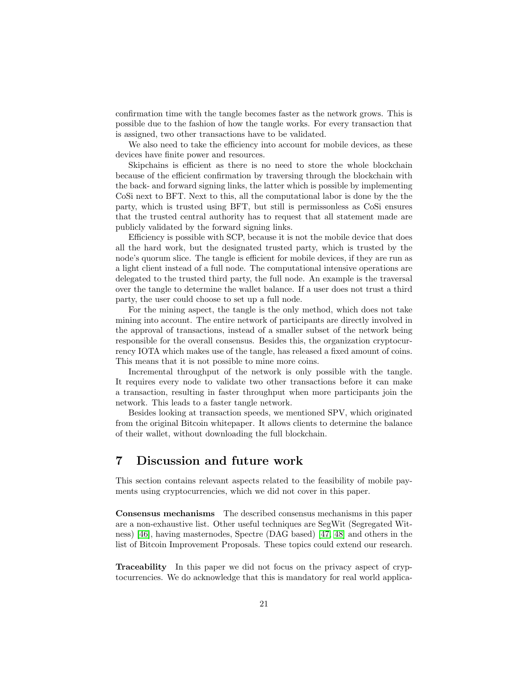confirmation time with the tangle becomes faster as the network grows. This is possible due to the fashion of how the tangle works. For every transaction that is assigned, two other transactions have to be validated.

We also need to take the efficiency into account for mobile devices, as these devices have finite power and resources.

Skipchains is efficient as there is no need to store the whole blockchain because of the efficient confirmation by traversing through the blockchain with the back- and forward signing links, the latter which is possible by implementing CoSi next to BFT. Next to this, all the computational labor is done by the the party, which is trusted using BFT, but still is permissonless as CoSi ensures that the trusted central authority has to request that all statement made are publicly validated by the forward signing links.

Efficiency is possible with SCP, because it is not the mobile device that does all the hard work, but the designated trusted party, which is trusted by the node's quorum slice. The tangle is efficient for mobile devices, if they are run as a light client instead of a full node. The computational intensive operations are delegated to the trusted third party, the full node. An example is the traversal over the tangle to determine the wallet balance. If a user does not trust a third party, the user could choose to set up a full node.

For the mining aspect, the tangle is the only method, which does not take mining into account. The entire network of participants are directly involved in the approval of transactions, instead of a smaller subset of the network being responsible for the overall consensus. Besides this, the organization cryptocurrency IOTA which makes use of the tangle, has released a fixed amount of coins. This means that it is not possible to mine more coins.

Incremental throughput of the network is only possible with the tangle. It requires every node to validate two other transactions before it can make a transaction, resulting in faster throughput when more participants join the network. This leads to a faster tangle network.

Besides looking at transaction speeds, we mentioned SPV, which originated from the original Bitcoin whitepaper. It allows clients to determine the balance of their wallet, without downloading the full blockchain.

## <span id="page-21-0"></span>7 Discussion and future work

This section contains relevant aspects related to the feasibility of mobile payments using cryptocurrencies, which we did not cover in this paper.

Consensus mechanisms The described consensus mechanisms in this paper are a non-exhaustive list. Other useful techniques are SegWit (Segregated Witness) [\[46\]](#page-27-11), having masternodes, Spectre (DAG based) [\[47,](#page-27-12) [48\]](#page-28-0) and others in the list of Bitcoin Improvement Proposals. These topics could extend our research.

Traceability In this paper we did not focus on the privacy aspect of cryptocurrencies. We do acknowledge that this is mandatory for real world applica-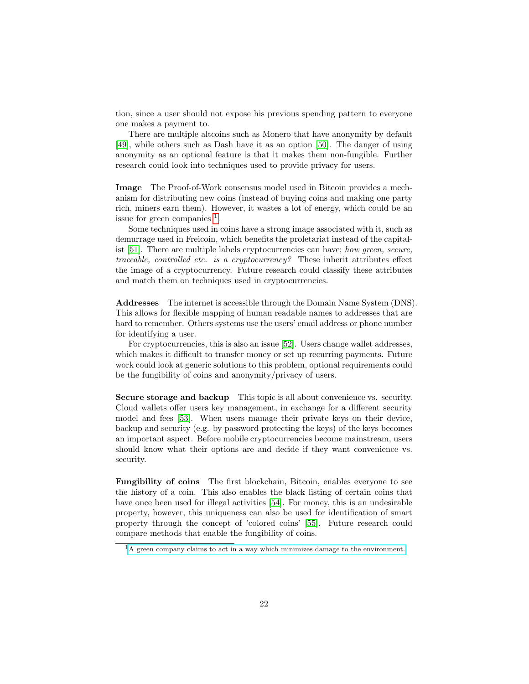tion, since a user should not expose his previous spending pattern to everyone one makes a payment to.

There are multiple altcoins such as Monero that have anonymity by default [\[49\]](#page-28-1), while others such as Dash have it as an option [\[50\]](#page-28-2). The danger of using anonymity as an optional feature is that it makes them non-fungible. Further research could look into techniques used to provide privacy for users.

Image The Proof-of-Work consensus model used in Bitcoin provides a mechanism for distributing new coins (instead of buying coins and making one party rich, miners earn them). However, it wastes a lot of energy, which could be an issue for green companies <sup>[1](#page-22-0)</sup>.

Some techniques used in coins have a strong image associated with it, such as demurrage used in Freicoin, which benefits the proletariat instead of the capital-ist [\[51\]](#page-28-3). There are multiple labels cryptocurrencies can have; how green, secure, traceable, controlled etc. is a cryptocurrency? These inherit attributes effect the image of a cryptocurrency. Future research could classify these attributes and match them on techniques used in cryptocurrencies.

Addresses The internet is accessible through the Domain Name System (DNS). This allows for flexible mapping of human readable names to addresses that are hard to remember. Others systems use the users' email address or phone number for identifying a user.

For cryptocurrencies, this is also an issue [\[52\]](#page-28-4). Users change wallet addresses, which makes it difficult to transfer money or set up recurring payments. Future work could look at generic solutions to this problem, optional requirements could be the fungibility of coins and anonymity/privacy of users.

Secure storage and backup This topic is all about convenience vs. security. Cloud wallets offer users key management, in exchange for a different security model and fees [\[53\]](#page-28-5). When users manage their private keys on their device, backup and security (e.g. by password protecting the keys) of the keys becomes an important aspect. Before mobile cryptocurrencies become mainstream, users should know what their options are and decide if they want convenience vs. security.

Fungibility of coins The first blockchain, Bitcoin, enables everyone to see the history of a coin. This also enables the black listing of certain coins that have once been used for illegal activities [\[54\]](#page-28-6). For money, this is an undesirable property, however, this uniqueness can also be used for identification of smart property through the concept of 'colored coins' [\[55\]](#page-28-7). Future research could compare methods that enable the fungibility of coins.

<span id="page-22-0"></span><sup>&</sup>lt;sup>1</sup>[A green company claims to act in a way which minimizes damage to the environment.](https://en.wikipedia.org/wiki/Green_company)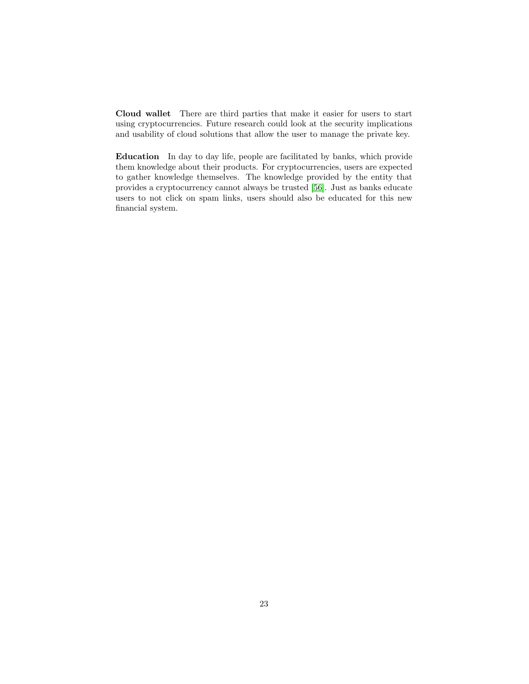Cloud wallet There are third parties that make it easier for users to start using cryptocurrencies. Future research could look at the security implications and usability of cloud solutions that allow the user to manage the private key.

Education In day to day life, people are facilitated by banks, which provide them knowledge about their products. For cryptocurrencies, users are expected to gather knowledge themselves. The knowledge provided by the entity that provides a cryptocurrency cannot always be trusted [\[56\]](#page-28-8). Just as banks educate users to not click on spam links, users should also be educated for this new financial system.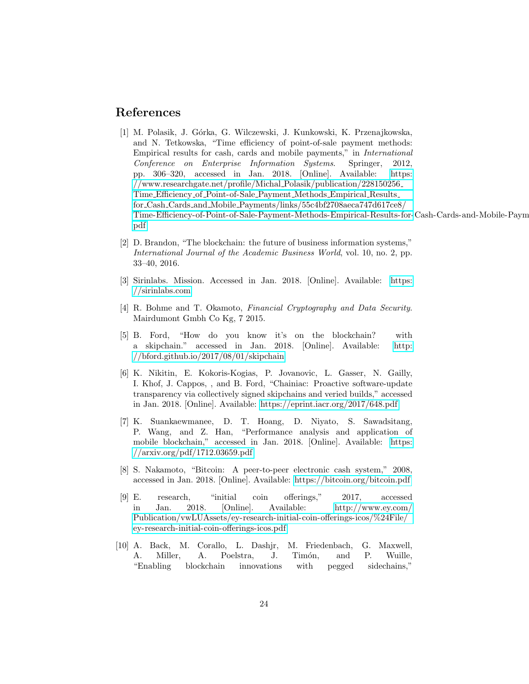## References

- <span id="page-24-0"></span>[1] M. Polasik, J. G´orka, G. Wilczewski, J. Kunkowski, K. Przenajkowska, and N. Tetkowska, "Time efficiency of point-of-sale payment methods: Empirical results for cash, cards and mobile payments," in International Conference on Enterprise Information Systems. Springer, 2012, pp. 306–320, accessed in Jan. 2018. [Online]. Available: [https:](https://www.researchgate.net/profile/Michal_Polasik/publication/228150256_Time_Efficiency_of_Point-of-Sale_Payment_Methods_Empirical_Results_for_Cash_Cards_and_Mobile_Payments/links/55c4bf2708aeca747d617ce8/Time-Efficiency-of-Point-of-Sale-Payment-Methods-Empirical-Results-for-Cash-Cards-and-Mobile-Payments.pdf) [//www.researchgate.net/profile/Michal](https://www.researchgate.net/profile/Michal_Polasik/publication/228150256_Time_Efficiency_of_Point-of-Sale_Payment_Methods_Empirical_Results_for_Cash_Cards_and_Mobile_Payments/links/55c4bf2708aeca747d617ce8/Time-Efficiency-of-Point-of-Sale-Payment-Methods-Empirical-Results-for-Cash-Cards-and-Mobile-Payments.pdf) Polasik/publication/228150256 Time Efficiency of [Point-of-Sale](https://www.researchgate.net/profile/Michal_Polasik/publication/228150256_Time_Efficiency_of_Point-of-Sale_Payment_Methods_Empirical_Results_for_Cash_Cards_and_Mobile_Payments/links/55c4bf2708aeca747d617ce8/Time-Efficiency-of-Point-of-Sale-Payment-Methods-Empirical-Results-for-Cash-Cards-and-Mobile-Payments.pdf) Payment Methods Empirical Results for Cash Cards and Mobile [Payments/links/55c4bf2708aeca747d617ce8/](https://www.researchgate.net/profile/Michal_Polasik/publication/228150256_Time_Efficiency_of_Point-of-Sale_Payment_Methods_Empirical_Results_for_Cash_Cards_and_Mobile_Payments/links/55c4bf2708aeca747d617ce8/Time-Efficiency-of-Point-of-Sale-Payment-Methods-Empirical-Results-for-Cash-Cards-and-Mobile-Payments.pdf) [Time-Efficiency-of-Point-of-Sale-Payment-Methods-Empirical-Results-for-](https://www.researchgate.net/profile/Michal_Polasik/publication/228150256_Time_Efficiency_of_Point-of-Sale_Payment_Methods_Empirical_Results_for_Cash_Cards_and_Mobile_Payments/links/55c4bf2708aeca747d617ce8/Time-Efficiency-of-Point-of-Sale-Payment-Methods-Empirical-Results-for-Cash-Cards-and-Mobile-Payments.pdf)Cash-Cards-and-Mobile-Payments. [pdf](https://www.researchgate.net/profile/Michal_Polasik/publication/228150256_Time_Efficiency_of_Point-of-Sale_Payment_Methods_Empirical_Results_for_Cash_Cards_and_Mobile_Payments/links/55c4bf2708aeca747d617ce8/Time-Efficiency-of-Point-of-Sale-Payment-Methods-Empirical-Results-for-Cash-Cards-and-Mobile-Payments.pdf)
- <span id="page-24-1"></span>[2] D. Brandon, "The blockchain: the future of business information systems," International Journal of the Academic Business World, vol. 10, no. 2, pp. 33–40, 2016.
- <span id="page-24-2"></span>[3] Sirinlabs. Mission. Accessed in Jan. 2018. [Online]. Available: [https:](https://sirinlabs.com) [//sirinlabs.com](https://sirinlabs.com)
- <span id="page-24-3"></span>[4] R. Bohme and T. Okamoto, Financial Cryptography and Data Security. Mairdumont Gmbh Co Kg, 7 2015.
- <span id="page-24-4"></span>[5] B. Ford, "How do you know it's on the blockchain? with a skipchain." accessed in Jan. 2018. [Online]. Available: [http:](http://bford.github.io/2017/08/01/skipchain) [//bford.github.io/2017/08/01/skipchain](http://bford.github.io/2017/08/01/skipchain)
- <span id="page-24-5"></span>[6] K. Nikitin, E. Kokoris-Kogias, P. Jovanovic, L. Gasser, N. Gailly, I. Khof, J. Cappos, , and B. Ford, "Chainiac: Proactive software-update transparency via collectively signed skipchains and veried builds," accessed in Jan. 2018. [Online]. Available:<https://eprint.iacr.org/2017/648.pdf>
- <span id="page-24-6"></span>[7] K. Suankaewmanee, D. T. Hoang, D. Niyato, S. Sawadsitang, P. Wang, and Z. Han, "Performance analysis and application of mobile blockchain," accessed in Jan. 2018. [Online]. Available: [https:](https://arxiv.org/pdf/1712.03659.pdf) [//arxiv.org/pdf/1712.03659.pdf](https://arxiv.org/pdf/1712.03659.pdf)
- <span id="page-24-7"></span>[8] S. Nakamoto, "Bitcoin: A peer-to-peer electronic cash system," 2008, accessed in Jan. 2018. [Online]. Available:<https://bitcoin.org/bitcoin.pdf>
- <span id="page-24-8"></span>[9] E. research, "initial coin offerings," 2017, accessed in Jan. 2018. [Online]. Available: [http://www.ey.com/](http://www.ey.com/Publication/vwLUAssets/ey-research-initial-coin-offerings-icos/%24File/ey-research-initial-coin-offerings-icos.pdf) [Publication/vwLUAssets/ey-research-initial-coin-offerings-icos/%24File/](http://www.ey.com/Publication/vwLUAssets/ey-research-initial-coin-offerings-icos/%24File/ey-research-initial-coin-offerings-icos.pdf) [ey-research-initial-coin-offerings-icos.pdf](http://www.ey.com/Publication/vwLUAssets/ey-research-initial-coin-offerings-icos/%24File/ey-research-initial-coin-offerings-icos.pdf)
- <span id="page-24-9"></span>[10] A. Back, M. Corallo, L. Dashjr, M. Friedenbach, G. Maxwell, A. Miller, A. Poelstra, J. Timón, and P. Wuille, "Enabling blockchain innovations with pegged sidechains,"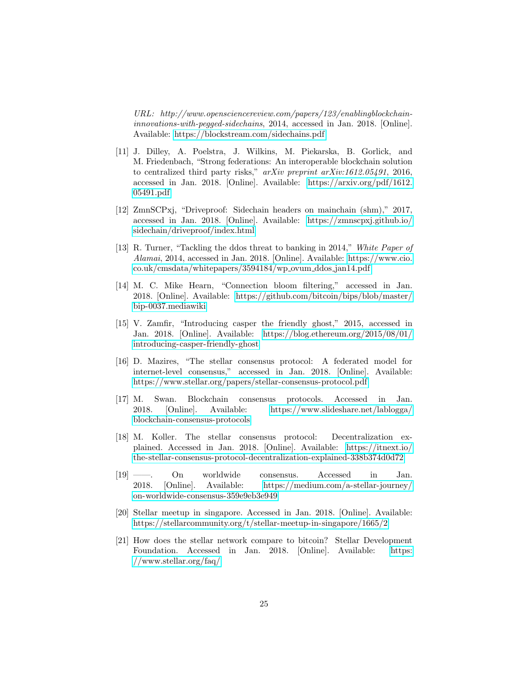URL: http://www.opensciencereview.com/papers/123/enablingblockchaininnovations-with-pegged-sidechains, 2014, accessed in Jan. 2018. [Online]. Available:<https://blockstream.com/sidechains.pdf>

- <span id="page-25-0"></span>[11] J. Dilley, A. Poelstra, J. Wilkins, M. Piekarska, B. Gorlick, and M. Friedenbach, "Strong federations: An interoperable blockchain solution to centralized third party risks," arXiv preprint arXiv:1612.05491, 2016, accessed in Jan. 2018. [Online]. Available: [https://arxiv.org/pdf/1612.](https://arxiv.org/pdf/1612.05491.pdf) [05491.pdf](https://arxiv.org/pdf/1612.05491.pdf)
- <span id="page-25-1"></span>[12] ZmnSCPxj, "Driveproof: Sidechain headers on mainchain (shm)," 2017, accessed in Jan. 2018. [Online]. Available: [https://zmnscpxj.github.io/](https://zmnscpxj.github.io/sidechain/driveproof/index.html) [sidechain/driveproof/index.html](https://zmnscpxj.github.io/sidechain/driveproof/index.html)
- <span id="page-25-2"></span>[13] R. Turner, "Tackling the ddos threat to banking in 2014," White Paper of Alamai, 2014, accessed in Jan. 2018. [Online]. Available: [https://www.cio.](https://www.cio.co.uk/cmsdata/whitepapers/3594184/wp_ovum_ddos_jan14.pdf) [co.uk/cmsdata/whitepapers/3594184/wp](https://www.cio.co.uk/cmsdata/whitepapers/3594184/wp_ovum_ddos_jan14.pdf) ovum ddos jan14.pdf
- <span id="page-25-3"></span>[14] M. C. Mike Hearn, "Connection bloom filtering," accessed in Jan. 2018. [Online]. Available: [https://github.com/bitcoin/bips/blob/master/](https://github.com/bitcoin/bips/blob/master/bip-0037.mediawiki) [bip-0037.mediawiki](https://github.com/bitcoin/bips/blob/master/bip-0037.mediawiki)
- <span id="page-25-4"></span>[15] V. Zamfir, "Introducing casper the friendly ghost," 2015, accessed in Jan. 2018. [Online]. Available: [https://blog.ethereum.org/2015/08/01/](https://blog.ethereum.org/2015/08/01/introducing-casper-friendly-ghost) [introducing-casper-friendly-ghost](https://blog.ethereum.org/2015/08/01/introducing-casper-friendly-ghost)
- <span id="page-25-5"></span>[16] D. Mazires, "The stellar consensus protocol: A federated model for internet-level consensus," accessed in Jan. 2018. [Online]. Available: <https://www.stellar.org/papers/stellar-consensus-protocol.pdf>
- <span id="page-25-6"></span>[17] M. Swan. Blockchain consensus protocols. Accessed in Jan. 2018. [Online]. Available: [https://www.slideshare.net/lablogga/](https://www.slideshare.net/lablogga/blockchain-consensus-protocols) [blockchain-consensus-protocols](https://www.slideshare.net/lablogga/blockchain-consensus-protocols)
- <span id="page-25-7"></span>[18] M. Koller. The stellar consensus protocol: Decentralization explained. Accessed in Jan. 2018. [Online]. Available: [https://itnext.io/](https://itnext.io/the-stellar-consensus-protocol-decentralization-explained-338b374d0d72) [the-stellar-consensus-protocol-decentralization-explained-338b374d0d72](https://itnext.io/the-stellar-consensus-protocol-decentralization-explained-338b374d0d72)
- <span id="page-25-8"></span>[19] ——. On worldwide consensus. Accessed in Jan. 2018. [Online]. Available: [https://medium.com/a-stellar-journey/](https://medium.com/a-stellar-journey/on-worldwide-consensus-359e9eb3e949) [on-worldwide-consensus-359e9eb3e949](https://medium.com/a-stellar-journey/on-worldwide-consensus-359e9eb3e949)
- <span id="page-25-9"></span>[20] Stellar meetup in singapore. Accessed in Jan. 2018. [Online]. Available: <https://stellarcommunity.org/t/stellar-meetup-in-singapore/1665/2>
- <span id="page-25-10"></span>[21] How does the stellar network compare to bitcoin? Stellar Development Foundation. Accessed in Jan. 2018. [Online]. Available: [https:](https://www.stellar.org/faq/) [//www.stellar.org/faq/](https://www.stellar.org/faq/)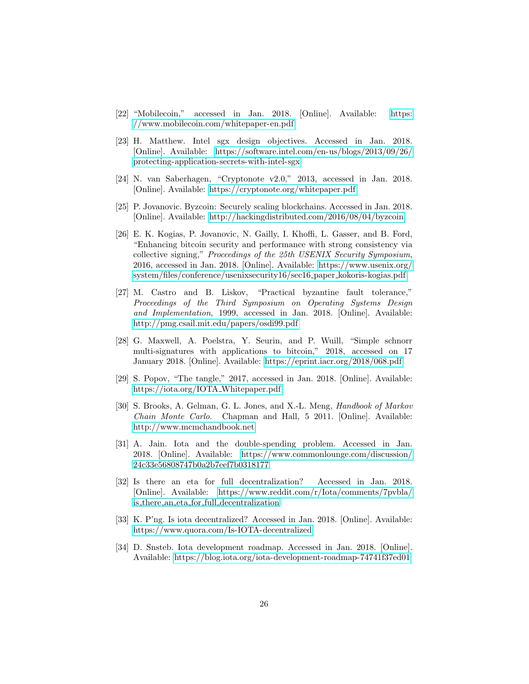- <span id="page-26-0"></span>[22] "Mobilecoin," accessed in Jan. 2018. [Online]. Available: [https:](https://www.mobilecoin.com/whitepaper-en.pdf) [//www.mobilecoin.com/whitepaper-en.pdf](https://www.mobilecoin.com/whitepaper-en.pdf)
- <span id="page-26-1"></span>[23] H. Matthew. Intel sgx design objectives. Accessed in Jan. 2018. [Online]. Available: [https://software.intel.com/en-us/blogs/2013/09/26/](https://software.intel.com/en-us/blogs/2013/09/26/protecting-application-secrets-with-intel-sgx) [protecting-application-secrets-with-intel-sgx](https://software.intel.com/en-us/blogs/2013/09/26/protecting-application-secrets-with-intel-sgx)
- <span id="page-26-2"></span>[24] N. van Saberhagen, "Cryptonote v2.0," 2013, accessed in Jan. 2018. [Online]. Available:<https://cryptonote.org/whitepaper.pdf>
- <span id="page-26-3"></span>[25] P. Jovanovic. Byzcoin: Securely scaling blockchains. Accessed in Jan. 2018. [Online]. Available:<http://hackingdistributed.com/2016/08/04/byzcoin>
- <span id="page-26-4"></span>[26] E. K. Kogias, P. Jovanovic, N. Gailly, I. Khoffi, L. Gasser, and B. Ford, "Enhancing bitcoin security and performance with strong consistency via collective signing," Proceedings of the 25th USENIX Security Symposium, 2016, accessed in Jan. 2018. [Online]. Available: [https://www.usenix.org/](https://www.usenix.org/system/files/conference/usenixsecurity16/sec16_paper_kokoris-kogias.pdf) [system/files/conference/usenixsecurity16/sec16](https://www.usenix.org/system/files/conference/usenixsecurity16/sec16_paper_kokoris-kogias.pdf) paper kokoris-kogias.pdf
- <span id="page-26-5"></span>[27] M. Castro and B. Liskov, "Practical byzantine fault tolerance," Proceedings of the Third Symposium on Operating Systems Design and Implementation, 1999, accessed in Jan. 2018. [Online]. Available: <http://pmg.csail.mit.edu/papers/osdi99.pdf>
- <span id="page-26-6"></span>[28] G. Maxwell, A. Poelstra, Y. Seurin, and P. Wuill, "Simple schnorr multi-signatures with applications to bitcoin," 2018, accessed on 17 January 2018. [Online]. Available:<https://eprint.iacr.org/2018/068.pdf>
- <span id="page-26-7"></span>[29] S. Popov, "The tangle," 2017, accessed in Jan. 2018. [Online]. Available: [https://iota.org/IOTA](https://iota.org/IOTA_Whitepaper.pdf) Whitepaper.pdf
- <span id="page-26-8"></span>[30] S. Brooks, A. Gelman, G. L. Jones, and X.-L. Meng, *Handbook of Markov* Chain Monte Carlo. Chapman and Hall, 5 2011. [Online]. Available: <http://www.mcmchandbook.net>
- <span id="page-26-9"></span>[31] A. Jain. Iota and the double-spending problem. Accessed in Jan. 2018. [Online]. Available: [https://www.commonlounge.com/discussion/](https://www.commonlounge.com/discussion/24c33e56808747b0a2b7eef7b0318177) [24c33e56808747b0a2b7eef7b0318177](https://www.commonlounge.com/discussion/24c33e56808747b0a2b7eef7b0318177)
- <span id="page-26-10"></span>[32] Is there an eta for full decentralization? Accessed in Jan. 2018. [Online]. Available: [https://www.reddit.com/r/Iota/comments/7pvbla/](https://www.reddit.com/r/Iota/comments/7pvbla/is_there_an_eta_for_full_decentralization) is there an eta for full [decentralization](https://www.reddit.com/r/Iota/comments/7pvbla/is_there_an_eta_for_full_decentralization)
- <span id="page-26-11"></span>[33] K. P'ng. Is iota decentralized? Accessed in Jan. 2018. [Online]. Available: <https://www.quora.com/Is-IOTA-decentralized>
- <span id="page-26-12"></span>[34] D. Snsteb. Iota development roadmap. Accessed in Jan. 2018. [Online]. Available:<https://blog.iota.org/iota-development-roadmap-74741f37ed01>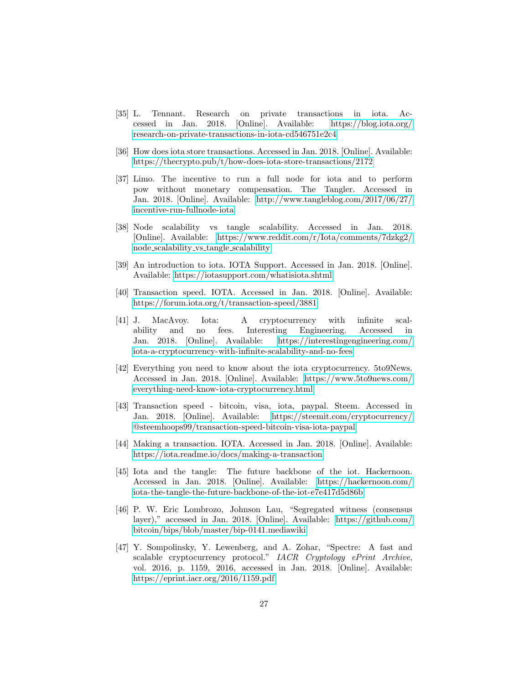- <span id="page-27-0"></span>[35] L. Tennant. Research on private transactions in iota. Accessed in Jan. 2018. [Online]. Available: [https://blog.iota.org/](https://blog.iota.org/research-on-private-transactions-in-iota-cd546751e2c4) [research-on-private-transactions-in-iota-cd546751e2c4](https://blog.iota.org/research-on-private-transactions-in-iota-cd546751e2c4)
- <span id="page-27-1"></span>[36] How does iota store transactions. Accessed in Jan. 2018. [Online]. Available: <https://thecrypto.pub/t/how-does-iota-store-transactions/2172>
- <span id="page-27-2"></span>[37] Limo. The incentive to run a full node for iota and to perform pow without monetary compensation. The Tangler. Accessed in Jan. 2018. [Online]. Available: [http://www.tangleblog.com/2017/06/27/](http://www.tangleblog.com/2017/06/27/incentive-run-fullnode-iota) [incentive-run-fullnode-iota](http://www.tangleblog.com/2017/06/27/incentive-run-fullnode-iota)
- <span id="page-27-3"></span>[38] Node scalability vs tangle scalability. Accessed in Jan. 2018. [Online]. Available: [https://www.reddit.com/r/Iota/comments/7dzkg2/](https://www.reddit.com/r/Iota/comments/7dzkg2/node_scalability_vs_tangle_scalability) node scalability vs tangle [scalability](https://www.reddit.com/r/Iota/comments/7dzkg2/node_scalability_vs_tangle_scalability)
- <span id="page-27-4"></span>[39] An introduction to iota. IOTA Support. Accessed in Jan. 2018. [Online]. Available:<https://iotasupport.com/whatisiota.shtml>
- <span id="page-27-5"></span>[40] Transaction speed. IOTA. Accessed in Jan. 2018. [Online]. Available: <https://forum.iota.org/t/transaction-speed/3881>
- <span id="page-27-6"></span>[41] J. MacAvoy. Iota: A cryptocurrency with infinite scalability and no fees. Interesting Engineering. Accessed in Jan. 2018. [Online]. Available: [https://interestingengineering.com/](https://interestingengineering.com/iota-a-cryptocurrency-with-infinite-scalability-and-no-fees) [iota-a-cryptocurrency-with-infinite-scalability-and-no-fees](https://interestingengineering.com/iota-a-cryptocurrency-with-infinite-scalability-and-no-fees)
- <span id="page-27-7"></span>[42] Everything you need to know about the iota cryptocurrency. 5to9News. Accessed in Jan. 2018. [Online]. Available: [https://www.5to9news.com/](https://www.5to9news.com/everything-need-know-iota-cryptocurrency.html) [everything-need-know-iota-cryptocurrency.html](https://www.5to9news.com/everything-need-know-iota-cryptocurrency.html)
- <span id="page-27-8"></span>[43] Transaction speed - bitcoin, visa, iota, paypal. Steem. Accessed in Jan. 2018. [Online]. Available: [https://steemit.com/cryptocurrency/](https://steemit.com/cryptocurrency/@steemhoops99/transaction-speed-bitcoin-visa-iota-paypal) [@steemhoops99/transaction-speed-bitcoin-visa-iota-paypal](https://steemit.com/cryptocurrency/@steemhoops99/transaction-speed-bitcoin-visa-iota-paypal)
- <span id="page-27-9"></span>[44] Making a transaction. IOTA. Accessed in Jan. 2018. [Online]. Available: <https://iota.readme.io/docs/making-a-transaction>
- <span id="page-27-10"></span>[45] Iota and the tangle: The future backbone of the iot. Hackernoon. Accessed in Jan. 2018. [Online]. Available: [https://hackernoon.com/](https://hackernoon.com/iota-the-tangle-the-future-backbone-of-the-iot-e7e417d5d86b) [iota-the-tangle-the-future-backbone-of-the-iot-e7e417d5d86b](https://hackernoon.com/iota-the-tangle-the-future-backbone-of-the-iot-e7e417d5d86b)
- <span id="page-27-11"></span>[46] P. W. Eric Lombrozo, Johnson Lau, "Segregated witness (consensus layer)," accessed in Jan. 2018. [Online]. Available: [https://github.com/](https://github.com/bitcoin/bips/blob/master/bip-0141.mediawiki) [bitcoin/bips/blob/master/bip-0141.mediawiki](https://github.com/bitcoin/bips/blob/master/bip-0141.mediawiki)
- <span id="page-27-12"></span>[47] Y. Sompolinsky, Y. Lewenberg, and A. Zohar, "Spectre: A fast and scalable cryptocurrency protocol." IACR Cryptology ePrint Archive, vol. 2016, p. 1159, 2016, accessed in Jan. 2018. [Online]. Available: <https://eprint.iacr.org/2016/1159.pdf>